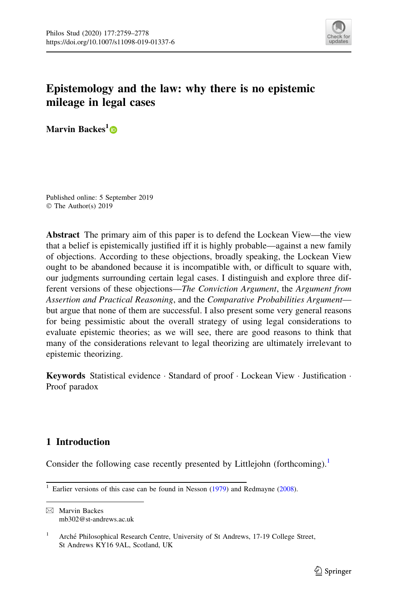

# Epistemology and the law: why there is no epistemic mileage in legal cases

Marvin Backes<sup>1</sup>®

Published online: 5 September 2019 © The Author(s) 2019

Abstract The primary aim of this paper is to defend the Lockean View—the view that a belief is epistemically justified iff it is highly probable—against a new family of objections. According to these objections, broadly speaking, the Lockean View ought to be abandoned because it is incompatible with, or difficult to square with, our judgments surrounding certain legal cases. I distinguish and explore three different versions of these objections—The Conviction Argument, the Argument from Assertion and Practical Reasoning, and the Comparative Probabilities Argument but argue that none of them are successful. I also present some very general reasons for being pessimistic about the overall strategy of using legal considerations to evaluate epistemic theories; as we will see, there are good reasons to think that many of the considerations relevant to legal theorizing are ultimately irrelevant to epistemic theorizing.

Keywords Statistical evidence · Standard of proof · Lockean View · Justification · Proof paradox

# 1 Introduction

Consider the following case recently presented by Littlejohn (forthcoming).<sup>1</sup>

<sup>&</sup>lt;sup>1</sup> Earlier versions of this case can be found in Nesson  $(1979)$  and Redmayne  $(2008)$  $(2008)$ .

 $\boxtimes$  Marvin Backes mb302@st-andrews.ac.uk

<sup>&</sup>lt;sup>1</sup> Arché Philosophical Research Centre, University of St Andrews, 17-19 College Street, St Andrews KY16 9AL, Scotland, UK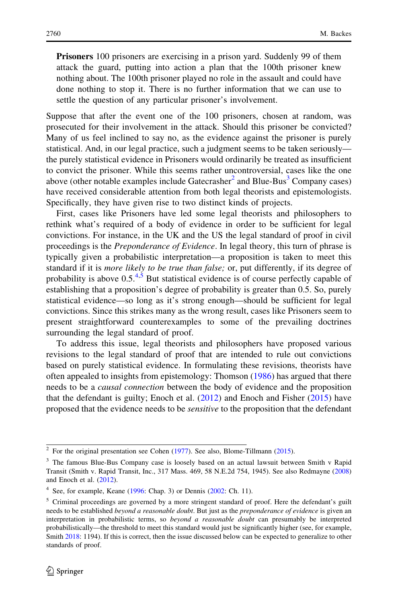Prisoners 100 prisoners are exercising in a prison yard. Suddenly 99 of them attack the guard, putting into action a plan that the 100th prisoner knew nothing about. The 100th prisoner played no role in the assault and could have done nothing to stop it. There is no further information that we can use to settle the question of any particular prisoner's involvement.

Suppose that after the event one of the 100 prisoners, chosen at random, was prosecuted for their involvement in the attack. Should this prisoner be convicted? Many of us feel inclined to say no, as the evidence against the prisoner is purely statistical. And, in our legal practice, such a judgment seems to be taken seriously the purely statistical evidence in Prisoners would ordinarily be treated as insufficient to convict the prisoner. While this seems rather uncontroversial, cases like the one above (other notable examples include Gatecrasher<sup>2</sup> and Blue-Bus<sup>3</sup> Company cases) have received considerable attention from both legal theorists and epistemologists. Specifically, they have given rise to two distinct kinds of projects.

First, cases like Prisoners have led some legal theorists and philosophers to rethink what's required of a body of evidence in order to be sufficient for legal convictions. For instance, in the UK and the US the legal standard of proof in civil proceedings is the Preponderance of Evidence. In legal theory, this turn of phrase is typically given a probabilistic interpretation—a proposition is taken to meet this standard if it is *more likely to be true than false*; or, put differently, if its degree of probability is above  $0.5^{4.5}$  But statistical evidence is of course perfectly capable of establishing that a proposition's degree of probability is greater than 0.5. So, purely statistical evidence—so long as it's strong enough—should be sufficient for legal convictions. Since this strikes many as the wrong result, cases like Prisoners seem to present straightforward counterexamples to some of the prevailing doctrines surrounding the legal standard of proof.

To address this issue, legal theorists and philosophers have proposed various revisions to the legal standard of proof that are intended to rule out convictions based on purely statistical evidence. In formulating these revisions, theorists have often appealed to insights from epistemology: Thomson ([1986\)](#page-19-0) has argued that there needs to be a causal connection between the body of evidence and the proposition that the defendant is guilty; Enoch et al.  $(2012)$  $(2012)$  and Enoch and Fisher  $(2015)$  $(2015)$  have proposed that the evidence needs to be *sensitive* to the proposition that the defendant

 $2$  For the original presentation see Cohen [\(1977](#page-18-0)). See also, Blome-Tillmann ([2015](#page-18-0)).

<sup>&</sup>lt;sup>3</sup> The famous Blue-Bus Company case is loosely based on an actual lawsuit between Smith v Rapid Transit (Smith v. Rapid Transit, Inc., 317 Mass. 469, 58 N.E.2d 754, 1945). See also Redmayne ([2008\)](#page-19-0) and Enoch et al. ([2012\)](#page-18-0).

 $4$  See, for example, Keane [\(1996](#page-19-0): Chap. 3) or Dennis [\(2002:](#page-18-0) Ch. 11).

<sup>&</sup>lt;sup>5</sup> Criminal proceedings are governed by a more stringent standard of proof. Here the defendant's guilt needs to be established beyond a reasonable doubt. But just as the preponderance of evidence is given an interpretation in probabilistic terms, so beyond a reasonable doubt can presumably be interpreted probabilistically—the threshold to meet this standard would just be significantly higher (see, for example, Smith [2018:](#page-19-0) 1194). If this is correct, then the issue discussed below can be expected to generalize to other standards of proof.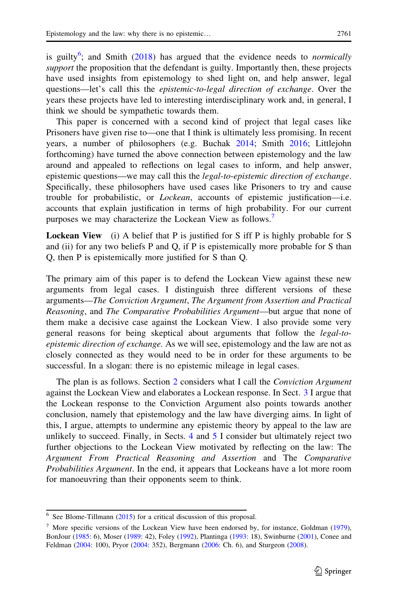is guilty<sup>6</sup>; and Smith ([2018\)](#page-19-0) has argued that the evidence needs to *normically* support the proposition that the defendant is guilty. Importantly then, these projects have used insights from epistemology to shed light on, and help answer, legal questions—let's call this the *epistemic-to-legal direction of exchange*. Over the years these projects have led to interesting interdisciplinary work and, in general, I think we should be sympathetic towards them.

This paper is concerned with a second kind of project that legal cases like Prisoners have given rise to—one that I think is ultimately less promising. In recent years, a number of philosophers (e.g. Buchak [2014;](#page-18-0) Smith [2016;](#page-19-0) Littlejohn forthcoming) have turned the above connection between epistemology and the law around and appealed to reflections on legal cases to inform, and help answer, epistemic questions—we may call this the *legal-to-epistemic direction of exchange*. Specifically, these philosophers have used cases like Prisoners to try and cause trouble for probabilistic, or Lockean, accounts of epistemic justification—i.e. accounts that explain justification in terms of high probability. For our current purposes we may characterize the Lockean View as follows.<sup>7</sup>

Lockean View (i) A belief that P is justified for S iff P is highly probable for S and (ii) for any two beliefs P and Q, if P is epistemically more probable for S than Q, then P is epistemically more justified for S than Q.

The primary aim of this paper is to defend the Lockean View against these new arguments from legal cases. I distinguish three different versions of these arguments—The Conviction Argument, The Argument from Assertion and Practical Reasoning, and The Comparative Probabilities Argument—but argue that none of them make a decisive case against the Lockean View. I also provide some very general reasons for being skeptical about arguments that follow the legal-toepistemic direction of exchange. As we will see, epistemology and the law are not as closely connected as they would need to be in order for these arguments to be successful. In a slogan: there is no epistemic mileage in legal cases.

The plan is as follows. Section [2](#page-3-0) considers what I call the Conviction Argument against the Lockean View and elaborates a Lockean response. In Sect. [3](#page-9-0) I argue that the Lockean response to the Conviction Argument also points towards another conclusion, namely that epistemology and the law have diverging aims. In light of this, I argue, attempts to undermine any epistemic theory by appeal to the law are unlikely to succeed. Finally, in Sects. [4](#page-10-0) and [5](#page-14-0) I consider but ultimately reject two further objections to the Lockean View motivated by reflecting on the law: The Argument From Practical Reasoning and Assertion and The Comparative Probabilities Argument. In the end, it appears that Lockeans have a lot more room for manoeuvring than their opponents seem to think.

 $6$  See Blome-Tillmann ([2015\)](#page-18-0) for a critical discussion of this proposal.

 $<sup>7</sup>$  More specific versions of the Lockean View have been endorsed by, for instance, Goldman ([1979\)](#page-19-0),</sup> BonJour ([1985:](#page-18-0) 6), Moser ([1989:](#page-19-0) 42), Foley [\(1992](#page-19-0)), Plantinga [\(1993](#page-19-0): 18), Swinburne [\(2001](#page-19-0)), Conee and Feldman [\(2004](#page-18-0): 100), Pryor [\(2004](#page-19-0): 352), Bergmann ([2006:](#page-18-0) Ch. 6), and Sturgeon ([2008\)](#page-19-0).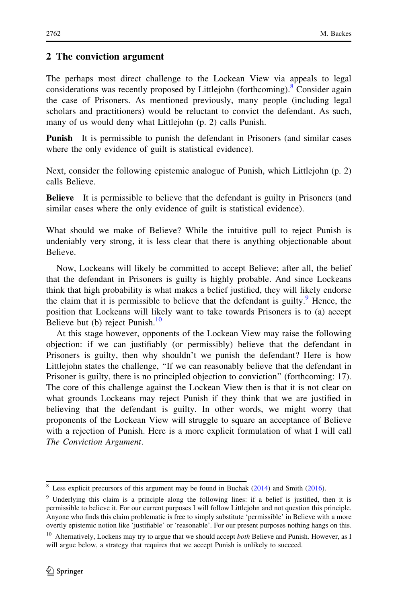# <span id="page-3-0"></span>2 The conviction argument

The perhaps most direct challenge to the Lockean View via appeals to legal considerations was recently proposed by Littlejohn (forthcoming).<sup>8</sup> Consider again the case of Prisoners. As mentioned previously, many people (including legal scholars and practitioners) would be reluctant to convict the defendant. As such, many of us would deny what Littlejohn (p. 2) calls Punish.

Punish It is permissible to punish the defendant in Prisoners (and similar cases where the only evidence of guilt is statistical evidence).

Next, consider the following epistemic analogue of Punish, which Littlejohn (p. 2) calls Believe.

**Believe** It is permissible to believe that the defendant is guilty in Prisoners (and similar cases where the only evidence of guilt is statistical evidence).

What should we make of Believe? While the intuitive pull to reject Punish is undeniably very strong, it is less clear that there is anything objectionable about Believe.

Now, Lockeans will likely be committed to accept Believe; after all, the belief that the defendant in Prisoners is guilty is highly probable. And since Lockeans think that high probability is what makes a belief justified, they will likely endorse the claim that it is permissible to believe that the defendant is guilty.<sup>9</sup> Hence, the position that Lockeans will likely want to take towards Prisoners is to (a) accept Believe but (b) reject Punish. $^{10}$ 

At this stage however, opponents of the Lockean View may raise the following objection: if we can justifiably (or permissibly) believe that the defendant in Prisoners is guilty, then why shouldn't we punish the defendant? Here is how Littlejohn states the challenge, ''If we can reasonably believe that the defendant in Prisoner is guilty, there is no principled objection to conviction'' (forthcoming: 17). The core of this challenge against the Lockean View then is that it is not clear on what grounds Lockeans may reject Punish if they think that we are justified in believing that the defendant is guilty. In other words, we might worry that proponents of the Lockean View will struggle to square an acceptance of Believe with a rejection of Punish. Here is a more explicit formulation of what I will call The Conviction Argument.

<sup>&</sup>lt;sup>8</sup> Less explicit precursors of this argument may be found in Buchak  $(2014)$  $(2014)$  and Smith  $(2016)$  $(2016)$ .

<sup>9</sup> Underlying this claim is a principle along the following lines: if a belief is justified, then it is permissible to believe it. For our current purposes I will follow Littlejohn and not question this principle. Anyone who finds this claim problematic is free to simply substitute 'permissible' in Believe with a more overtly epistemic notion like 'justifiable' or 'reasonable'. For our present purposes nothing hangs on this.

<sup>&</sup>lt;sup>10</sup> Alternatively, Lockens may try to argue that we should accept both Believe and Punish. However, as I will argue below, a strategy that requires that we accept Punish is unlikely to succeed.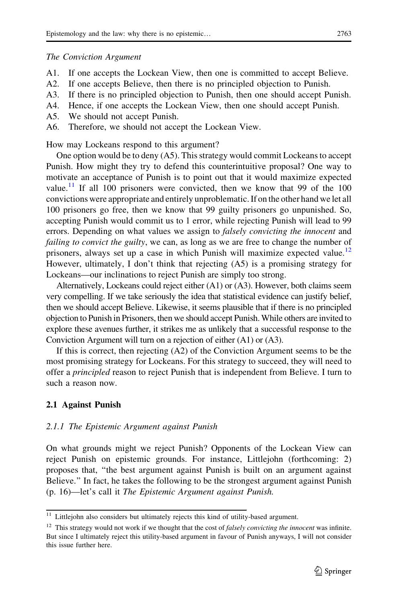#### The Conviction Argument

- A1. If one accepts the Lockean View, then one is committed to accept Believe.
- A2. If one accepts Believe, then there is no principled objection to Punish.
- A3. If there is no principled objection to Punish, then one should accept Punish.
- A4. Hence, if one accepts the Lockean View, then one should accept Punish.
- A5. We should not accept Punish.
- A6. Therefore, we should not accept the Lockean View.

How may Lockeans respond to this argument?

One option would be to deny (A5). This strategy would commit Lockeans to accept Punish. How might they try to defend this counterintuitive proposal? One way to motivate an acceptance of Punish is to point out that it would maximize expected value.<sup>11</sup> If all 100 prisoners were convicted, then we know that 99 of the 100 convictions were appropriate and entirely unproblematic. If on the other hand we let all 100 prisoners go free, then we know that 99 guilty prisoners go unpunished. So, accepting Punish would commit us to 1 error, while rejecting Punish will lead to 99 errors. Depending on what values we assign to *falsely convicting the innocent* and failing to convict the guilty, we can, as long as we are free to change the number of prisoners, always set up a case in which Punish will maximize expected value.<sup>12</sup> However, ultimately, I don't think that rejecting (A5) is a promising strategy for Lockeans—our inclinations to reject Punish are simply too strong.

Alternatively, Lockeans could reject either (A1) or (A3). However, both claims seem very compelling. If we take seriously the idea that statistical evidence can justify belief, then we should accept Believe. Likewise, it seems plausible that if there is no principled objection to Punish in Prisoners, then we should accept Punish. While others are invited to explore these avenues further, it strikes me as unlikely that a successful response to the Conviction Argument will turn on a rejection of either (A1) or (A3).

If this is correct, then rejecting (A2) of the Conviction Argument seems to be the most promising strategy for Lockeans. For this strategy to succeed, they will need to offer a *principled* reason to reject Punish that is independent from Believe. I turn to such a reason now.

### 2.1 Against Punish

#### 2.1.1 The Epistemic Argument against Punish

On what grounds might we reject Punish? Opponents of the Lockean View can reject Punish on epistemic grounds. For instance, Littlejohn (forthcoming: 2) proposes that, ''the best argument against Punish is built on an argument against Believe.'' In fact, he takes the following to be the strongest argument against Punish (p. 16)—let's call it The Epistemic Argument against Punish.

<sup>&</sup>lt;sup>11</sup> Littlejohn also considers but ultimately rejects this kind of utility-based argument.

 $12$  This strategy would not work if we thought that the cost of *falsely convicting the innocent* was infinite. But since I ultimately reject this utility-based argument in favour of Punish anyways, I will not consider this issue further here.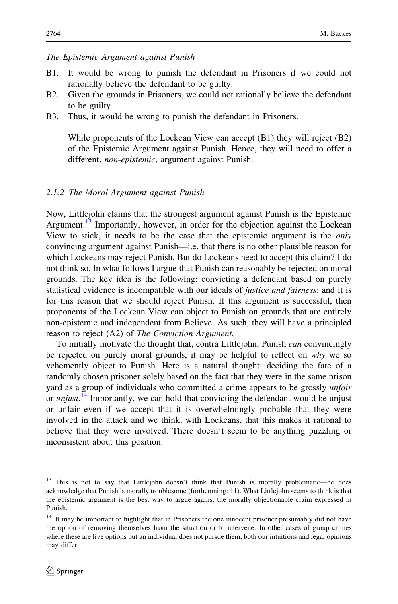## The Epistemic Argument against Punish

- B1. It would be wrong to punish the defendant in Prisoners if we could not rationally believe the defendant to be guilty.
- B2. Given the grounds in Prisoners, we could not rationally believe the defendant to be guilty.
- B3. Thus, it would be wrong to punish the defendant in Prisoners.

While proponents of the Lockean View can accept (B1) they will reject (B2) of the Epistemic Argument against Punish. Hence, they will need to offer a different, *non-epistemic*, argument against Punish.

#### 2.1.2 The Moral Argument against Punish

Now, Littlejohn claims that the strongest argument against Punish is the Epistemic Argument.<sup>13</sup> Importantly, however, in order for the objection against the Lockean View to stick, it needs to be the case that the epistemic argument is the only convincing argument against Punish—i.e. that there is no other plausible reason for which Lockeans may reject Punish. But do Lockeans need to accept this claim? I do not think so. In what follows I argue that Punish can reasonably be rejected on moral grounds. The key idea is the following: convicting a defendant based on purely statistical evidence is incompatible with our ideals of *justice and fairness*; and it is for this reason that we should reject Punish. If this argument is successful, then proponents of the Lockean View can object to Punish on grounds that are entirely non-epistemic and independent from Believe. As such, they will have a principled reason to reject (A2) of The Conviction Argument.

To initially motivate the thought that, contra Littlejohn, Punish *can* convincingly be rejected on purely moral grounds, it may be helpful to reflect on why we so vehemently object to Punish. Here is a natural thought: deciding the fate of a randomly chosen prisoner solely based on the fact that they were in the same prison yard as a group of individuals who committed a crime appears to be grossly *unfair* or *unjust*.<sup>14</sup> Importantly, we can hold that convicting the defendant would be unjust or unfair even if we accept that it is overwhelmingly probable that they were involved in the attack and we think, with Lockeans, that this makes it rational to believe that they were involved. There doesn't seem to be anything puzzling or inconsistent about this position.

<sup>&</sup>lt;sup>13</sup> This is not to say that Littlejohn doesn't think that Punish is morally problematic—he does acknowledge that Punish is morally troublesome (forthcoming: 11). What Littlejohn seems to think is that the epistemic argument is the best way to argue against the morally objectionable claim expressed in Punish.

<sup>&</sup>lt;sup>14</sup> It may be important to highlight that in Prisoners the one innocent prisoner presumably did not have the option of removing themselves from the situation or to intervene. In other cases of group crimes where these are live options but an individual does not pursue them, both our intuitions and legal opinions may differ.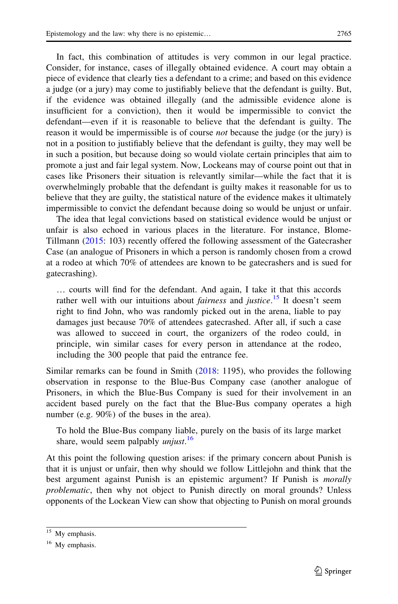In fact, this combination of attitudes is very common in our legal practice. Consider, for instance, cases of illegally obtained evidence. A court may obtain a piece of evidence that clearly ties a defendant to a crime; and based on this evidence a judge (or a jury) may come to justifiably believe that the defendant is guilty. But, if the evidence was obtained illegally (and the admissible evidence alone is insufficient for a conviction), then it would be impermissible to convict the defendant—even if it is reasonable to believe that the defendant is guilty. The reason it would be impermissible is of course *not* because the judge (or the jury) is not in a position to justifiably believe that the defendant is guilty, they may well be in such a position, but because doing so would violate certain principles that aim to promote a just and fair legal system. Now, Lockeans may of course point out that in cases like Prisoners their situation is relevantly similar—while the fact that it is overwhelmingly probable that the defendant is guilty makes it reasonable for us to believe that they are guilty, the statistical nature of the evidence makes it ultimately impermissible to convict the defendant because doing so would be unjust or unfair.

The idea that legal convictions based on statistical evidence would be unjust or unfair is also echoed in various places in the literature. For instance, Blome-Tillmann [\(2015](#page-18-0): 103) recently offered the following assessment of the Gatecrasher Case (an analogue of Prisoners in which a person is randomly chosen from a crowd at a rodeo at which 70% of attendees are known to be gatecrashers and is sued for gatecrashing).

… courts will find for the defendant. And again, I take it that this accords rather well with our intuitions about *fairness* and *justice*.<sup>15</sup> It doesn't seem right to find John, who was randomly picked out in the arena, liable to pay damages just because 70% of attendees gatecrashed. After all, if such a case was allowed to succeed in court, the organizers of the rodeo could, in principle, win similar cases for every person in attendance at the rodeo, including the 300 people that paid the entrance fee.

Similar remarks can be found in Smith [\(2018](#page-19-0): 1195), who provides the following observation in response to the Blue-Bus Company case (another analogue of Prisoners, in which the Blue-Bus Company is sued for their involvement in an accident based purely on the fact that the Blue-Bus company operates a high number (e.g. 90%) of the buses in the area).

To hold the Blue-Bus company liable, purely on the basis of its large market share, would seem palpably *unjust*.<sup>16</sup>

At this point the following question arises: if the primary concern about Punish is that it is unjust or unfair, then why should we follow Littlejohn and think that the best argument against Punish is an epistemic argument? If Punish is morally problematic, then why not object to Punish directly on moral grounds? Unless opponents of the Lockean View can show that objecting to Punish on moral grounds

<sup>&</sup>lt;sup>15</sup> My emphasis.

<sup>&</sup>lt;sup>16</sup> My emphasis.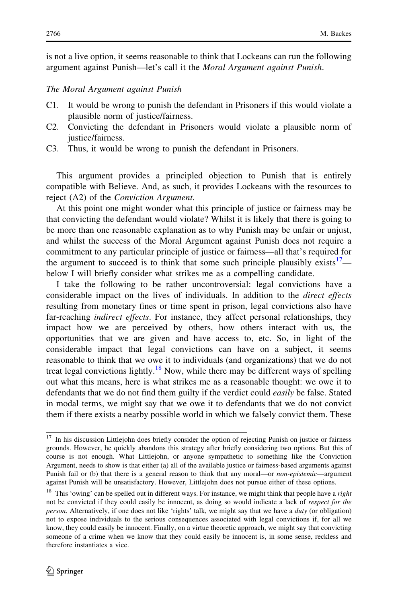is not a live option, it seems reasonable to think that Lockeans can run the following argument against Punish—let's call it the Moral Argument against Punish.

#### The Moral Argument against Punish

- C1. It would be wrong to punish the defendant in Prisoners if this would violate a plausible norm of justice/fairness.
- C2. Convicting the defendant in Prisoners would violate a plausible norm of justice/fairness.
- C3. Thus, it would be wrong to punish the defendant in Prisoners.

This argument provides a principled objection to Punish that is entirely compatible with Believe. And, as such, it provides Lockeans with the resources to reject (A2) of the Conviction Argument.

At this point one might wonder what this principle of justice or fairness may be that convicting the defendant would violate? Whilst it is likely that there is going to be more than one reasonable explanation as to why Punish may be unfair or unjust, and whilst the success of the Moral Argument against Punish does not require a commitment to any particular principle of justice or fairness—all that's required for the argument to succeed is to think that some such principle plausibly exists  $\frac{1}{1}$  below I will briefly consider what strikes me as a compelling candidate.

I take the following to be rather uncontroversial: legal convictions have a considerable impact on the lives of individuals. In addition to the direct effects resulting from monetary fines or time spent in prison, legal convictions also have far-reaching *indirect effects*. For instance, they affect personal relationships, they impact how we are perceived by others, how others interact with us, the opportunities that we are given and have access to, etc. So, in light of the considerable impact that legal convictions can have on a subject, it seems reasonable to think that we owe it to individuals (and organizations) that we do not treat legal convictions lightly.<sup>18</sup> Now, while there may be different ways of spelling out what this means, here is what strikes me as a reasonable thought: we owe it to defendants that we do not find them guilty if the verdict could easily be false. Stated in modal terms, we might say that we owe it to defendants that we do not convict them if there exists a nearby possible world in which we falsely convict them. These

<sup>&</sup>lt;sup>17</sup> In his discussion Littlejohn does briefly consider the option of rejecting Punish on justice or fairness grounds. However, he quickly abandons this strategy after briefly considering two options. But this of course is not enough. What Littlejohn, or anyone sympathetic to something like the Conviction Argument, needs to show is that either (a) all of the available justice or fairness-based arguments against Punish fail or (b) that there is a general reason to think that any moral—or non-epistemic—argument against Punish will be unsatisfactory. However, Littlejohn does not pursue either of these options.

<sup>&</sup>lt;sup>18</sup> This 'owing' can be spelled out in different ways. For instance, we might think that people have a right not be convicted if they could easily be innocent, as doing so would indicate a lack of respect for the person. Alternatively, if one does not like 'rights' talk, we might say that we have a *duty* (or obligation) not to expose individuals to the serious consequences associated with legal convictions if, for all we know, they could easily be innocent. Finally, on a virtue theoretic approach, we might say that convicting someone of a crime when we know that they could easily be innocent is, in some sense, reckless and therefore instantiates a vice.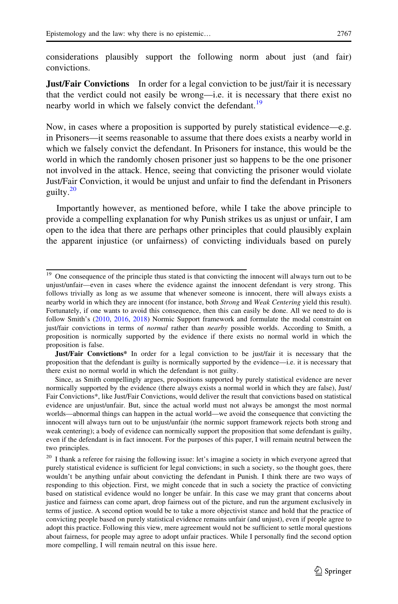considerations plausibly support the following norm about just (and fair) convictions.

**Just/Fair Convictions** In order for a legal conviction to be just/fair it is necessary that the verdict could not easily be wrong—i.e. it is necessary that there exist no nearby world in which we falsely convict the defendant.<sup>19</sup>

Now, in cases where a proposition is supported by purely statistical evidence—e.g. in Prisoners—it seems reasonable to assume that there does exists a nearby world in which we falsely convict the defendant. In Prisoners for instance, this would be the world in which the randomly chosen prisoner just so happens to be the one prisoner not involved in the attack. Hence, seeing that convicting the prisoner would violate Just/Fair Conviction, it would be unjust and unfair to find the defendant in Prisoners guilty.<sup>20</sup>

Importantly however, as mentioned before, while I take the above principle to provide a compelling explanation for why Punish strikes us as unjust or unfair, I am open to the idea that there are perhaps other principles that could plausibly explain the apparent injustice (or unfairness) of convicting individuals based on purely

<sup>&</sup>lt;sup>19</sup> One consequence of the principle thus stated is that convicting the innocent will always turn out to be unjust/unfair—even in cases where the evidence against the innocent defendant is very strong. This follows trivially as long as we assume that whenever someone is innocent, there will always exists a nearby world in which they are innocent (for instance, both Strong and Weak Centering yield this result). Fortunately, if one wants to avoid this consequence, then this can easily be done. All we need to do is follow Smith's [\(2010](#page-19-0), [2016,](#page-19-0) [2018\)](#page-19-0) Normic Support framework and formulate the modal constraint on just/fair convictions in terms of *normal* rather than *nearby* possible worlds. According to Smith, a proposition is normically supported by the evidence if there exists no normal world in which the proposition is false.

Just/Fair Convictions\* In order for a legal conviction to be just/fair it is necessary that the proposition that the defendant is guilty is normically supported by the evidence—i.e. it is necessary that there exist no normal world in which the defendant is not guilty.

Since, as Smith compellingly argues, propositions supported by purely statistical evidence are never normically supported by the evidence (there always exists a normal world in which they are false), Just/ Fair Convictions\*, like Just/Fair Convictions, would deliver the result that convictions based on statistical evidence are unjust/unfair. But, since the actual world must not always be amongst the most normal worlds—abnormal things can happen in the actual world—we avoid the consequence that convicting the innocent will always turn out to be unjust/unfair (the normic support framework rejects both strong and weak centering); a body of evidence can normically support the proposition that some defendant is guilty, even if the defendant is in fact innocent. For the purposes of this paper, I will remain neutral between the two principles.

<sup>&</sup>lt;sup>20</sup> I thank a referee for raising the following issue: let's imagine a society in which everyone agreed that purely statistical evidence is sufficient for legal convictions; in such a society, so the thought goes, there wouldn't be anything unfair about convicting the defendant in Punish. I think there are two ways of responding to this objection. First, we might concede that in such a society the practice of convicting based on statistical evidence would no longer be unfair. In this case we may grant that concerns about justice and fairness can come apart, drop fairness out of the picture, and run the argument exclusively in terms of justice. A second option would be to take a more objectivist stance and hold that the practice of convicting people based on purely statistical evidence remains unfair (and unjust), even if people agree to adopt this practice. Following this view, mere agreement would not be sufficient to settle moral questions about fairness, for people may agree to adopt unfair practices. While I personally find the second option more compelling, I will remain neutral on this issue here.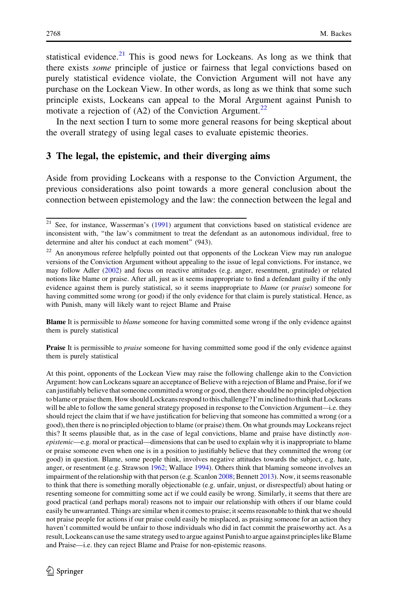<span id="page-9-0"></span>statistical evidence.<sup>21</sup> This is good news for Lockeans. As long as we think that there exists some principle of justice or fairness that legal convictions based on purely statistical evidence violate, the Conviction Argument will not have any purchase on the Lockean View. In other words, as long as we think that some such principle exists, Lockeans can appeal to the Moral Argument against Punish to motivate a rejection of  $(A2)$  of the Conviction Argument.<sup>22</sup>

In the next section I turn to some more general reasons for being skeptical about the overall strategy of using legal cases to evaluate epistemic theories.

# 3 The legal, the epistemic, and their diverging aims

Aside from providing Lockeans with a response to the Conviction Argument, the previous considerations also point towards a more general conclusion about the connection between epistemology and the law: the connection between the legal and

**Blame** It is permissible to *blame* someone for having committed some wrong if the only evidence against them is purely statistical

**Praise** It is permissible to *praise* someone for having committed some good if the only evidence against them is purely statistical

At this point, opponents of the Lockean View may raise the following challenge akin to the Conviction Argument: how can Lockeans square an acceptance of Believe with a rejection of Blame and Praise, for if we can justifiably believe that someone committed a wrong or good, then there should be no principled objection to blame or praise them. How should Lockeans respond to this challenge? I'm inclined to think that Lockeans will be able to follow the same general strategy proposed in response to the Conviction Argument—i.e. they should reject the claim that if we have justification for believing that someone has committed a wrong (or a good), then there is no principled objection to blame (or praise) them. On what grounds may Lockeans reject this? It seems plausible that, as in the case of legal convictions, blame and praise have distinctly *non*epistemic—e.g. moral or practical—dimensions that can be used to explain why it is inappropriate to blame or praise someone even when one is in a position to justifiably believe that they committed the wrong (or good) in question. Blame, some people think, involves negative attitudes towards the subject, e.g. hate, anger, or resentment (e.g. Strawson [1962](#page-19-0); Wallace [1994\)](#page-19-0). Others think that blaming someone involves an impairment of the relationship with that person (e.g. Scanlon [2008](#page-19-0); Bennett [2013\)](#page-18-0). Now, it seems reasonable to think that there is something morally objectionable (e.g. unfair, unjust, or disrespectful) about hating or resenting someone for committing some act if we could easily be wrong. Similarly, it seems that there are good practical (and perhaps moral) reasons not to impair our relationship with others if our blame could easily be unwarranted. Things are similar when it comes to praise; it seems reasonable to think that we should not praise people for actions if our praise could easily be misplaced, as praising someone for an action they haven't committed would be unfair to those individuals who did in fact commit the praiseworthy act. As a result, Lockeans can use the same strategy used to argue against Punish to argue against principles like Blame and Praise—i.e. they can reject Blame and Praise for non-epistemic reasons.

<sup>&</sup>lt;sup>21</sup> See, for instance, Wasserman's [\(1991](#page-19-0)) argument that convictions based on statistical evidence are inconsistent with, ''the law's commitment to treat the defendant as an autonomous individual, free to determine and alter his conduct at each moment" (943).

<sup>&</sup>lt;sup>22</sup> An anonymous referee helpfully pointed out that opponents of the Lockean View may run analogue versions of the Conviction Argument without appealing to the issue of legal convictions. For instance, we may follow Adler ([2002\)](#page-18-0) and focus on reactive attitudes (e.g. anger, resentment, gratitude) or related notions like blame or praise. After all, just as it seems inappropriate to find a defendant guilty if the only evidence against them is purely statistical, so it seems inappropriate to *blame* (or *praise*) someone for having committed some wrong (or good) if the only evidence for that claim is purely statistical. Hence, as with Punish, many will likely want to reject Blame and Praise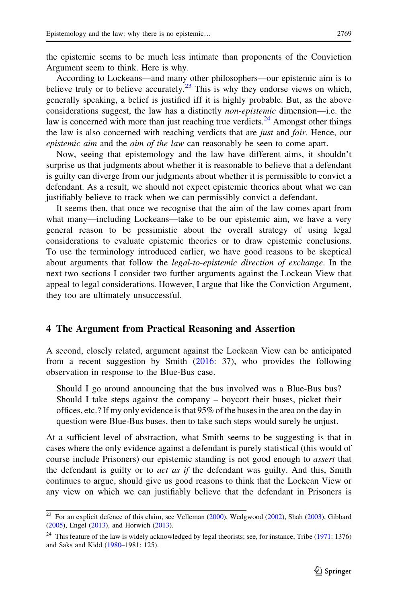<span id="page-10-0"></span>the epistemic seems to be much less intimate than proponents of the Conviction Argument seem to think. Here is why.

According to Lockeans—and many other philosophers—our epistemic aim is to believe truly or to believe accurately.<sup>23</sup> This is why they endorse views on which, generally speaking, a belief is justified iff it is highly probable. But, as the above considerations suggest, the law has a distinctly *non-epistemic* dimension—i.e. the law is concerned with more than just reaching true verdicts.<sup>24</sup> Amongst other things the law is also concerned with reaching verdicts that are *just* and *fair*. Hence, our epistemic aim and the aim of the law can reasonably be seen to come apart.

Now, seeing that epistemology and the law have different aims, it shouldn't surprise us that judgments about whether it is reasonable to believe that a defendant is guilty can diverge from our judgments about whether it is permissible to convict a defendant. As a result, we should not expect epistemic theories about what we can justifiably believe to track when we can permissibly convict a defendant.

It seems then, that once we recognise that the aim of the law comes apart from what many—including Lockeans—take to be our epistemic aim, we have a very general reason to be pessimistic about the overall strategy of using legal considerations to evaluate epistemic theories or to draw epistemic conclusions. To use the terminology introduced earlier, we have good reasons to be skeptical about arguments that follow the *legal-to-epistemic direction of exchange*. In the next two sections I consider two further arguments against the Lockean View that appeal to legal considerations. However, I argue that like the Conviction Argument, they too are ultimately unsuccessful.

#### 4 The Argument from Practical Reasoning and Assertion

A second, closely related, argument against the Lockean View can be anticipated from a recent suggestion by Smith [\(2016](#page-19-0): 37), who provides the following observation in response to the Blue-Bus case.

Should I go around announcing that the bus involved was a Blue-Bus bus? Should I take steps against the company – boycott their buses, picket their offices, etc.? If my only evidence is that 95% of the buses in the area on the day in question were Blue-Bus buses, then to take such steps would surely be unjust.

At a sufficient level of abstraction, what Smith seems to be suggesting is that in cases where the only evidence against a defendant is purely statistical (this would of course include Prisoners) our epistemic standing is not good enough to *assert* that the defendant is guilty or to *act as if* the defendant was guilty. And this, Smith continues to argue, should give us good reasons to think that the Lockean View or any view on which we can justifiably believe that the defendant in Prisoners is

<sup>&</sup>lt;sup>23</sup> For an explicit defence of this claim, see Velleman [\(2000](#page-19-0)), Wedgwood ([2002\)](#page-19-0), Shah [\(2003](#page-19-0)), Gibbard ([2005\)](#page-19-0), Engel ([2013\)](#page-18-0), and Horwich [\(2013](#page-19-0)).

<sup>&</sup>lt;sup>24</sup> This feature of the law is widely acknowledged by legal theorists; see, for instance, Tribe ([1971:](#page-19-0) 1376) and Saks and Kidd [\(1980](#page-19-0)–1981: 125).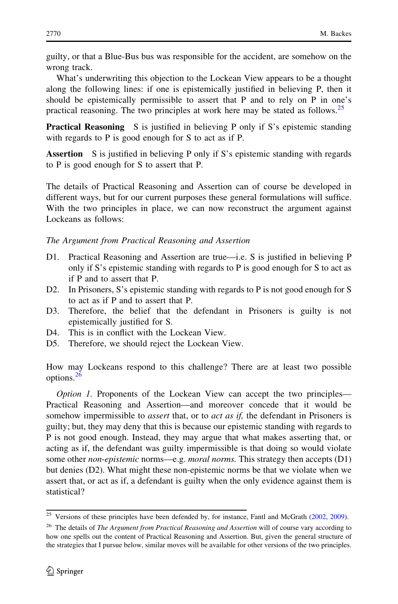guilty, or that a Blue-Bus bus was responsible for the accident, are somehow on the wrong track.

What's underwriting this objection to the Lockean View appears to be a thought along the following lines: if one is epistemically justified in believing P, then it should be epistemically permissible to assert that P and to rely on P in one's practical reasoning. The two principles at work here may be stated as follows.<sup>25</sup>

**Practical Reasoning** S is justified in believing P only if S's epistemic standing with regards to P is good enough for S to act as if P.

Assertion S is justified in believing P only if S's epistemic standing with regards to P is good enough for S to assert that P.

The details of Practical Reasoning and Assertion can of course be developed in different ways, but for our current purposes these general formulations will suffice. With the two principles in place, we can now reconstruct the argument against Lockeans as follows:

The Argument from Practical Reasoning and Assertion

- D1. Practical Reasoning and Assertion are true—i.e. S is justified in believing P only if S's epistemic standing with regards to P is good enough for S to act as if P and to assert that P.
- D2. In Prisoners, S's epistemic standing with regards to P is not good enough for S to act as if P and to assert that P.
- D3. Therefore, the belief that the defendant in Prisoners is guilty is not epistemically justified for S.
- D4. This is in conflict with the Lockean View.
- D5. Therefore, we should reject the Lockean View.

How may Lockeans respond to this challenge? There are at least two possible options.<sup>26</sup>

Option 1. Proponents of the Lockean View can accept the two principles— Practical Reasoning and Assertion—and moreover concede that it would be somehow impermissible to *assert* that, or to *act as if*, the defendant in Prisoners is guilty; but, they may deny that this is because our epistemic standing with regards to P is not good enough. Instead, they may argue that what makes asserting that, or acting as if, the defendant was guilty impermissible is that doing so would violate some other *non-epistemic* norms—e.g. *moral norms*. This strategy then accepts (D1) but denies (D2). What might these non-epistemic norms be that we violate when we assert that, or act as if, a defendant is guilty when the only evidence against them is statistical?

 $25$  Versions of these principles have been defended by, for instance, Fantl and McGrath [\(2002](#page-18-0), [2009\)](#page-19-0).

<sup>&</sup>lt;sup>26</sup> The details of *The Argument from Practical Reasoning and Assertion* will of course vary according to how one spells out the content of Practical Reasoning and Assertion. But, given the general structure of the strategies that I pursue below, similar moves will be available for other versions of the two principles.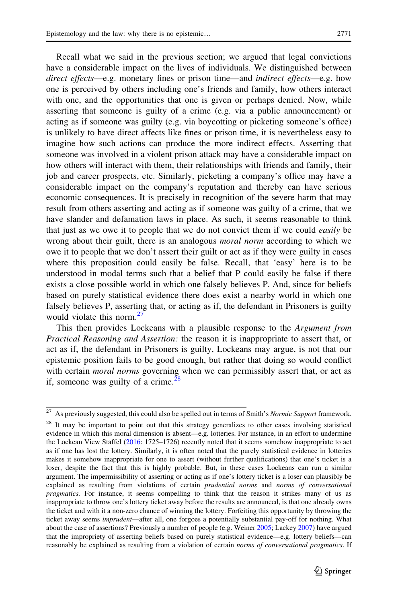Recall what we said in the previous section; we argued that legal convictions have a considerable impact on the lives of individuals. We distinguished between direct effects—e.g. monetary fines or prison time—and *indirect effects*—e.g. how one is perceived by others including one's friends and family, how others interact with one, and the opportunities that one is given or perhaps denied. Now, while asserting that someone is guilty of a crime (e.g. via a public announcement) or acting as if someone was guilty (e.g. via boycotting or picketing someone's office) is unlikely to have direct affects like fines or prison time, it is nevertheless easy to imagine how such actions can produce the more indirect effects. Asserting that someone was involved in a violent prison attack may have a considerable impact on how others will interact with them, their relationships with friends and family, their job and career prospects, etc. Similarly, picketing a company's office may have a considerable impact on the company's reputation and thereby can have serious economic consequences. It is precisely in recognition of the severe harm that may result from others asserting and acting as if someone was guilty of a crime, that we have slander and defamation laws in place. As such, it seems reasonable to think that just as we owe it to people that we do not convict them if we could *easily* be wrong about their guilt, there is an analogous *moral norm* according to which we owe it to people that we don't assert their guilt or act as if they were guilty in cases where this proposition could easily be false. Recall, that 'easy' here is to be understood in modal terms such that a belief that P could easily be false if there exists a close possible world in which one falsely believes P. And, since for beliefs based on purely statistical evidence there does exist a nearby world in which one falsely believes P, asserting that, or acting as if, the defendant in Prisoners is guilty would violate this norm. $27$ 

This then provides Lockeans with a plausible response to the Argument from Practical Reasoning and Assertion: the reason it is inappropriate to assert that, or act as if, the defendant in Prisoners is guilty, Lockeans may argue, is not that our epistemic position fails to be good enough, but rather that doing so would conflict with certain *moral norms* governing when we can permissibly assert that, or act as if, someone was guilty of a crime. $28$ 

<sup>&</sup>lt;sup>27</sup> As previously suggested, this could also be spelled out in terms of Smith's Normic Support framework.

<sup>&</sup>lt;sup>28</sup> It may be important to point out that this strategy generalizes to other cases involving statistical evidence in which this moral dimension is absent—e.g. lotteries. For instance, in an effort to undermine the Lockean View Staffel [\(2016](#page-19-0): 1725–1726) recently noted that it seems somehow inappropriate to act as if one has lost the lottery. Similarly, it is often noted that the purely statistical evidence in lotteries makes it somehow inappropriate for one to assert (without further qualifications) that one's ticket is a loser, despite the fact that this is highly probable. But, in these cases Lockeans can run a similar argument. The impermissibility of asserting or acting as if one's lottery ticket is a loser can plausibly be explained as resulting from violations of certain *prudential norms* and *norms of conversational* pragmatics. For instance, it seems compelling to think that the reason it strikes many of us as inappropriate to throw one's lottery ticket away before the results are announced, is that one already owns the ticket and with it a non-zero chance of winning the lottery. Forfeiting this opportunity by throwing the ticket away seems imprudent—after all, one forgoes a potentially substantial pay-off for nothing. What about the case of assertions? Previously a number of people (e.g. Weiner [2005;](#page-19-0) Lackey [2007](#page-19-0)) have argued that the impropriety of asserting beliefs based on purely statistical evidence—e.g. lottery beliefs—can reasonably be explained as resulting from a violation of certain *norms of conversational pragmatics*. If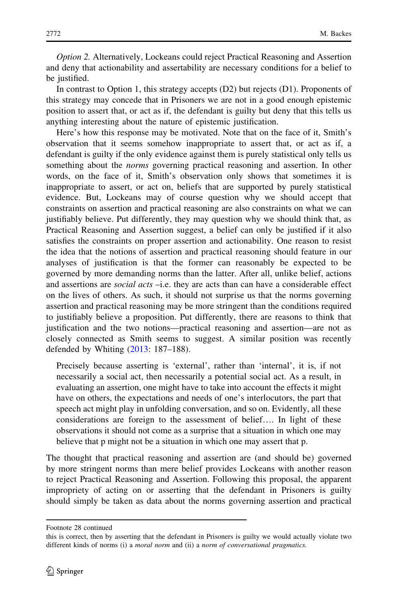Option 2. Alternatively, Lockeans could reject Practical Reasoning and Assertion and deny that actionability and assertability are necessary conditions for a belief to be justified.

In contrast to Option 1, this strategy accepts (D2) but rejects (D1). Proponents of this strategy may concede that in Prisoners we are not in a good enough epistemic position to assert that, or act as if, the defendant is guilty but deny that this tells us anything interesting about the nature of epistemic justification.

Here's how this response may be motivated. Note that on the face of it, Smith's observation that it seems somehow inappropriate to assert that, or act as if, a defendant is guilty if the only evidence against them is purely statistical only tells us something about the *norms* governing practical reasoning and assertion. In other words, on the face of it, Smith's observation only shows that sometimes it is inappropriate to assert, or act on, beliefs that are supported by purely statistical evidence. But, Lockeans may of course question why we should accept that constraints on assertion and practical reasoning are also constraints on what we can justifiably believe. Put differently, they may question why we should think that, as Practical Reasoning and Assertion suggest, a belief can only be justified if it also satisfies the constraints on proper assertion and actionability. One reason to resist the idea that the notions of assertion and practical reasoning should feature in our analyses of justification is that the former can reasonably be expected to be governed by more demanding norms than the latter. After all, unlike belief, actions and assertions are *social acts* –i.e. they are acts than can have a considerable effect on the lives of others. As such, it should not surprise us that the norms governing assertion and practical reasoning may be more stringent than the conditions required to justifiably believe a proposition. Put differently, there are reasons to think that justification and the two notions—practical reasoning and assertion—are not as closely connected as Smith seems to suggest. A similar position was recently defended by Whiting ([2013:](#page-19-0) 187–188).

Precisely because asserting is 'external', rather than 'internal', it is, if not necessarily a social act, then necessarily a potential social act. As a result, in evaluating an assertion, one might have to take into account the effects it might have on others, the expectations and needs of one's interlocutors, the part that speech act might play in unfolding conversation, and so on. Evidently, all these considerations are foreign to the assessment of belief…. In light of these observations it should not come as a surprise that a situation in which one may believe that p might not be a situation in which one may assert that p.

The thought that practical reasoning and assertion are (and should be) governed by more stringent norms than mere belief provides Lockeans with another reason to reject Practical Reasoning and Assertion. Following this proposal, the apparent impropriety of acting on or asserting that the defendant in Prisoners is guilty should simply be taken as data about the norms governing assertion and practical

Footnote 28 continued

this is correct, then by asserting that the defendant in Prisoners is guilty we would actually violate two different kinds of norms (i) a moral norm and (ii) a norm of conversational pragmatics.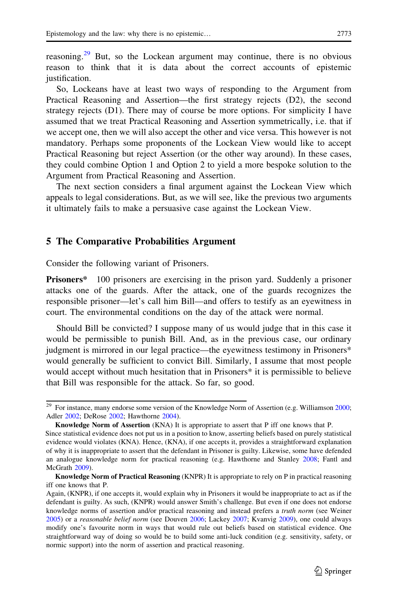<span id="page-14-0"></span>reasoning.<sup>29</sup> But, so the Lockean argument may continue, there is no obvious reason to think that it is data about the correct accounts of epistemic justification.

So, Lockeans have at least two ways of responding to the Argument from Practical Reasoning and Assertion—the first strategy rejects (D2), the second strategy rejects (D1). There may of course be more options. For simplicity I have assumed that we treat Practical Reasoning and Assertion symmetrically, i.e. that if we accept one, then we will also accept the other and vice versa. This however is not mandatory. Perhaps some proponents of the Lockean View would like to accept Practical Reasoning but reject Assertion (or the other way around). In these cases, they could combine Option 1 and Option 2 to yield a more bespoke solution to the Argument from Practical Reasoning and Assertion.

The next section considers a final argument against the Lockean View which appeals to legal considerations. But, as we will see, like the previous two arguments it ultimately fails to make a persuasive case against the Lockean View.

### 5 The Comparative Probabilities Argument

Consider the following variant of Prisoners.

Prisoners\* 100 prisoners are exercising in the prison yard. Suddenly a prisoner attacks one of the guards. After the attack, one of the guards recognizes the responsible prisoner—let's call him Bill—and offers to testify as an eyewitness in court. The environmental conditions on the day of the attack were normal.

Should Bill be convicted? I suppose many of us would judge that in this case it would be permissible to punish Bill. And, as in the previous case, our ordinary judgment is mirrored in our legal practice—the eyewitness testimony in Prisoners\* would generally be sufficient to convict Bill. Similarly, I assume that most people would accept without much hesitation that in Prisoners<sup>\*</sup> it is permissible to believe that Bill was responsible for the attack. So far, so good.

<sup>&</sup>lt;sup>29</sup> For instance, many endorse some version of the Knowledge Norm of Assertion (e.g. Williamson [2000](#page-19-0); Adler [2002;](#page-18-0) DeRose [2002](#page-18-0); Hawthorne [2004](#page-19-0)).

Knowledge Norm of Assertion (KNA) It is appropriate to assert that P iff one knows that P. Since statistical evidence does not put us in a position to know, asserting beliefs based on purely statistical evidence would violates (KNA). Hence, (KNA), if one accepts it, provides a straightforward explanation of why it is inappropriate to assert that the defendant in Prisoner is guilty. Likewise, some have defended an analogue knowledge norm for practical reasoning (e.g. Hawthorne and Stanley [2008](#page-19-0); Fantl and McGrath [2009](#page-19-0)).

Knowledge Norm of Practical Reasoning (KNPR) It is appropriate to rely on P in practical reasoning iff one knows that P.

Again, (KNPR), if one accepts it, would explain why in Prisoners it would be inappropriate to act as if the defendant is guilty. As such, (KNPR) would answer Smith's challenge. But even if one does not endorse knowledge norms of assertion and/or practical reasoning and instead prefers a truth norm (see Weiner [2005\)](#page-19-0) or a reasonable belief norm (see Douven [2006;](#page-18-0) Lackey [2007;](#page-19-0) Kvanvig [2009](#page-19-0)), one could always modify one's favourite norm in ways that would rule out beliefs based on statistical evidence. One straightforward way of doing so would be to build some anti-luck condition (e.g. sensitivity, safety, or normic support) into the norm of assertion and practical reasoning.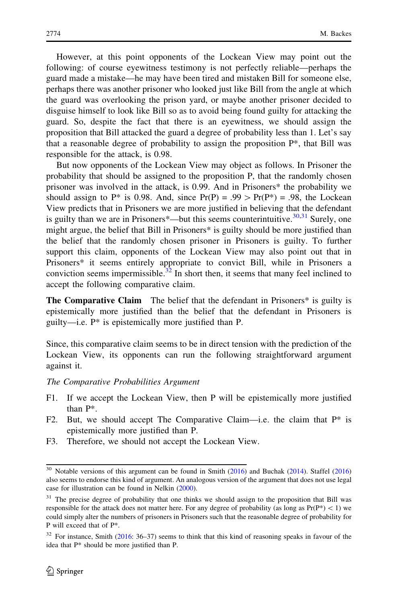However, at this point opponents of the Lockean View may point out the following: of course eyewitness testimony is not perfectly reliable—perhaps the guard made a mistake—he may have been tired and mistaken Bill for someone else, perhaps there was another prisoner who looked just like Bill from the angle at which the guard was overlooking the prison yard, or maybe another prisoner decided to disguise himself to look like Bill so as to avoid being found guilty for attacking the guard. So, despite the fact that there is an eyewitness, we should assign the proposition that Bill attacked the guard a degree of probability less than 1. Let's say that a reasonable degree of probability to assign the proposition P\*, that Bill was responsible for the attack, is 0.98.

But now opponents of the Lockean View may object as follows. In Prisoner the probability that should be assigned to the proposition P, that the randomly chosen prisoner was involved in the attack, is 0.99. And in Prisoners\* the probability we should assign to P\* is 0.98. And, since  $Pr(P) = .99 > Pr(P^*) = .98$ , the Lockean View predicts that in Prisoners we are more justified in believing that the defendant is guilty than we are in Prisoners\*—but this seems counterintuitive.<sup>30,31</sup> Surely, one might argue, the belief that Bill in Prisoners\* is guilty should be more justified than the belief that the randomly chosen prisoner in Prisoners is guilty. To further support this claim, opponents of the Lockean View may also point out that in Prisoners\* it seems entirely appropriate to convict Bill, while in Prisoners a conviction seems impermissible.<sup>32</sup> In short then, it seems that many feel inclined to accept the following comparative claim.

**The Comparative Claim** The belief that the defendant in Prisoners<sup>\*</sup> is guilty is epistemically more justified than the belief that the defendant in Prisoners is guilty—i.e. P\* is epistemically more justified than P.

Since, this comparative claim seems to be in direct tension with the prediction of the Lockean View, its opponents can run the following straightforward argument against it.

The Comparative Probabilities Argument

- F1. If we accept the Lockean View, then P will be epistemically more justified than P\*.
- F2. But, we should accept The Comparative Claim—i.e. the claim that  $P^*$  is epistemically more justified than P.
- F3. Therefore, we should not accept the Lockean View.

 $\frac{30}{30}$  Notable versions of this argument can be found in Smith [\(2016](#page-19-0)) and Buchak ([2014\)](#page-18-0). Staffel ([2016\)](#page-19-0) also seems to endorse this kind of argument. An analogous version of the argument that does not use legal case for illustration can be found in Nelkin ([2000\)](#page-19-0).

<sup>&</sup>lt;sup>31</sup> The precise degree of probability that one thinks we should assign to the proposition that Bill was responsible for the attack does not matter here. For any degree of probability (as long as  $Pr(P^*)$  < 1) we could simply alter the numbers of prisoners in Prisoners such that the reasonable degree of probability for P will exceed that of P\*.

<sup>&</sup>lt;sup>32</sup> For instance, Smith ([2016](#page-19-0): 36–37) seems to think that this kind of reasoning speaks in favour of the idea that P\* should be more justified than P.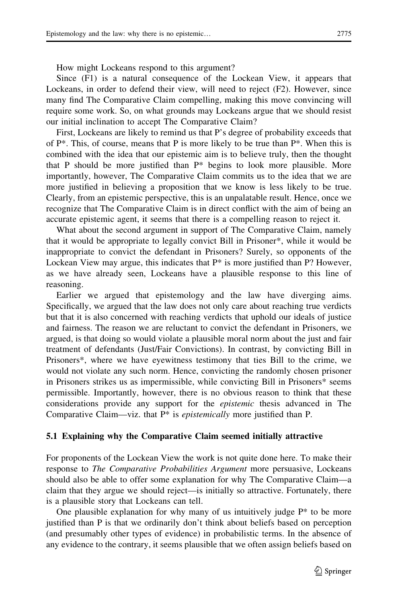How might Lockeans respond to this argument?

Since (F1) is a natural consequence of the Lockean View, it appears that Lockeans, in order to defend their view, will need to reject (F2). However, since many find The Comparative Claim compelling, making this move convincing will require some work. So, on what grounds may Lockeans argue that we should resist our initial inclination to accept The Comparative Claim?

First, Lockeans are likely to remind us that P's degree of probability exceeds that of  $P^*$ . This, of course, means that P is more likely to be true than  $P^*$ . When this is combined with the idea that our epistemic aim is to believe truly, then the thought that P should be more justified than  $P^*$  begins to look more plausible. More importantly, however, The Comparative Claim commits us to the idea that we are more justified in believing a proposition that we know is less likely to be true. Clearly, from an epistemic perspective, this is an unpalatable result. Hence, once we recognize that The Comparative Claim is in direct conflict with the aim of being an accurate epistemic agent, it seems that there is a compelling reason to reject it.

What about the second argument in support of The Comparative Claim, namely that it would be appropriate to legally convict Bill in Prisoner\*, while it would be inappropriate to convict the defendant in Prisoners? Surely, so opponents of the Lockean View may argue, this indicates that  $P^*$  is more justified than P? However, as we have already seen, Lockeans have a plausible response to this line of reasoning.

Earlier we argued that epistemology and the law have diverging aims. Specifically, we argued that the law does not only care about reaching true verdicts but that it is also concerned with reaching verdicts that uphold our ideals of justice and fairness. The reason we are reluctant to convict the defendant in Prisoners, we argued, is that doing so would violate a plausible moral norm about the just and fair treatment of defendants (Just/Fair Convictions). In contrast, by convicting Bill in Prisoners\*, where we have eyewitness testimony that ties Bill to the crime, we would not violate any such norm. Hence, convicting the randomly chosen prisoner in Prisoners strikes us as impermissible, while convicting Bill in Prisoners\* seems permissible. Importantly, however, there is no obvious reason to think that these considerations provide any support for the epistemic thesis advanced in The Comparative Claim—viz. that  $P^*$  is *epistemically* more justified than P.

#### 5.1 Explaining why the Comparative Claim seemed initially attractive

For proponents of the Lockean View the work is not quite done here. To make their response to *The Comparative Probabilities Argument* more persuasive, Lockeans should also be able to offer some explanation for why The Comparative Claim—a claim that they argue we should reject—is initially so attractive. Fortunately, there is a plausible story that Lockeans can tell.

One plausible explanation for why many of us intuitively judge  $P^*$  to be more justified than P is that we ordinarily don't think about beliefs based on perception (and presumably other types of evidence) in probabilistic terms. In the absence of any evidence to the contrary, it seems plausible that we often assign beliefs based on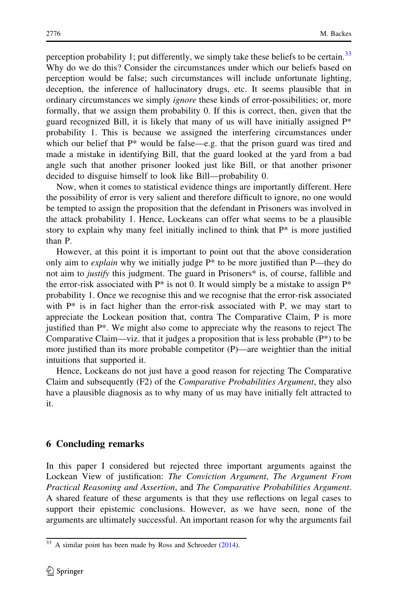perception probability 1; put differently, we simply take these beliefs to be certain.<sup>33</sup> Why do we do this? Consider the circumstances under which our beliefs based on perception would be false; such circumstances will include unfortunate lighting, deception, the inference of hallucinatory drugs, etc. It seems plausible that in ordinary circumstances we simply *ignore* these kinds of error-possibilities; or, more formally, that we assign them probability 0. If this is correct, then, given that the guard recognized Bill, it is likely that many of us will have initially assigned  $P^*$ probability 1. This is because we assigned the interfering circumstances under which our belief that P\* would be false—e.g. that the prison guard was tired and made a mistake in identifying Bill, that the guard looked at the yard from a bad angle such that another prisoner looked just like Bill, or that another prisoner decided to disguise himself to look like Bill—probability 0.

Now, when it comes to statistical evidence things are importantly different. Here the possibility of error is very salient and therefore difficult to ignore, no one would be tempted to assign the proposition that the defendant in Prisoners was involved in the attack probability 1. Hence, Lockeans can offer what seems to be a plausible story to explain why many feel initially inclined to think that  $P^*$  is more justified than P.

However, at this point it is important to point out that the above consideration only aim to *explain* why we initially judge  $P^*$  to be more justified than P—they do not aim to *justify* this judgment. The guard in Prisoners\* is, of course, fallible and the error-risk associated with  $P^*$  is not 0. It would simply be a mistake to assign  $P^*$ probability 1. Once we recognise this and we recognise that the error-risk associated with  $P^*$  is in fact higher than the error-risk associated with P, we may start to appreciate the Lockean position that, contra The Comparative Claim, P is more justified than P\*. We might also come to appreciate why the reasons to reject The Comparative Claim—viz. that it judges a proposition that is less probable  $(P^*)$  to be more justified than its more probable competitor (P)—are weightier than the initial intuitions that supported it.

Hence, Lockeans do not just have a good reason for rejecting The Comparative Claim and subsequently (F2) of the Comparative Probabilities Argument, they also have a plausible diagnosis as to why many of us may have initially felt attracted to it.

# 6 Concluding remarks

In this paper I considered but rejected three important arguments against the Lockean View of justification: The Conviction Argument, The Argument From Practical Reasoning and Assertion, and The Comparative Probabilities Argument. A shared feature of these arguments is that they use reflections on legal cases to support their epistemic conclusions. However, as we have seen, none of the arguments are ultimately successful. An important reason for why the arguments fail

<sup>&</sup>lt;sup>33</sup> A similar point has been made by Ross and Schroeder ([2014](#page-19-0)).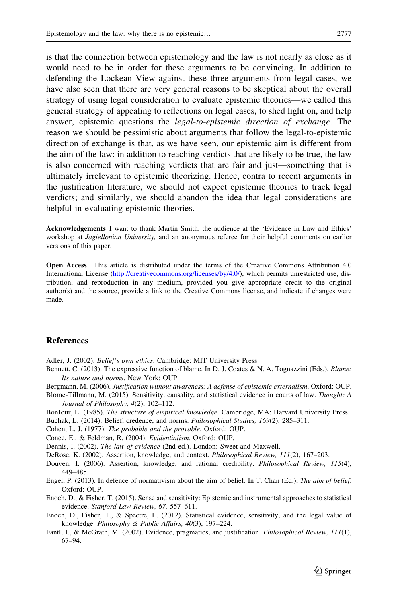<span id="page-18-0"></span>is that the connection between epistemology and the law is not nearly as close as it would need to be in order for these arguments to be convincing. In addition to defending the Lockean View against these three arguments from legal cases, we have also seen that there are very general reasons to be skeptical about the overall strategy of using legal consideration to evaluate epistemic theories—we called this general strategy of appealing to reflections on legal cases, to shed light on, and help answer, epistemic questions the legal-to-epistemic direction of exchange. The reason we should be pessimistic about arguments that follow the legal-to-epistemic direction of exchange is that, as we have seen, our epistemic aim is different from the aim of the law: in addition to reaching verdicts that are likely to be true, the law is also concerned with reaching verdicts that are fair and just—something that is ultimately irrelevant to epistemic theorizing. Hence, contra to recent arguments in the justification literature, we should not expect epistemic theories to track legal verdicts; and similarly, we should abandon the idea that legal considerations are helpful in evaluating epistemic theories.

Acknowledgements I want to thank Martin Smith, the audience at the 'Evidence in Law and Ethics' workshop at *Jagiellonian University*, and an anonymous referee for their helpful comments on earlier versions of this paper.

Open Access This article is distributed under the terms of the Creative Commons Attribution 4.0 International License ([http://creativecommons.org/licenses/by/4.0/\)](http://creativecommons.org/licenses/by/4.0/), which permits unrestricted use, distribution, and reproduction in any medium, provided you give appropriate credit to the original author(s) and the source, provide a link to the Creative Commons license, and indicate if changes were made.

#### References

Adler, J. (2002). Belief's own ethics. Cambridge: MIT University Press.

Bennett, C. (2013). The expressive function of blame. In D. J. Coates & N. A. Tognazzini (Eds.), *Blame:* Its nature and norms. New York: OUP.

Bergmann, M. (2006). Justification without awareness: A defense of epistemic externalism. Oxford: OUP.

- Blome-Tillmann, M. (2015). Sensitivity, causality, and statistical evidence in courts of law. Thought: A Journal of Philosophy, 4(2), 102–112.
- BonJour, L. (1985). The structure of empirical knowledge. Cambridge, MA: Harvard University Press.
- Buchak, L. (2014). Belief, credence, and norms. Philosophical Studies, 169(2), 285–311.
- Cohen, L. J. (1977). The probable and the provable. Oxford: OUP.
- Conee, E., & Feldman, R. (2004). Evidentialism. Oxford: OUP.
- Dennis, I. (2002). The law of evidence (2nd ed.). London: Sweet and Maxwell.

DeRose, K. (2002). Assertion, knowledge, and context. Philosophical Review, 111(2), 167–203.

- Douven, I. (2006). Assertion, knowledge, and rational credibility. Philosophical Review, 115(4), 449–485.
- Engel, P. (2013). In defence of normativism about the aim of belief. In T. Chan (Ed.), The aim of belief. Oxford: OUP.
- Enoch, D., & Fisher, T. (2015). Sense and sensitivity: Epistemic and instrumental approaches to statistical evidence. Stanford Law Review, 67, 557–611.
- Enoch, D., Fisher, T., & Spectre, L. (2012). Statistical evidence, sensitivity, and the legal value of knowledge. Philosophy & Public Affairs, 40(3), 197–224.
- Fantl, J., & McGrath, M. (2002). Evidence, pragmatics, and justification. Philosophical Review, 111(1), 67–94.